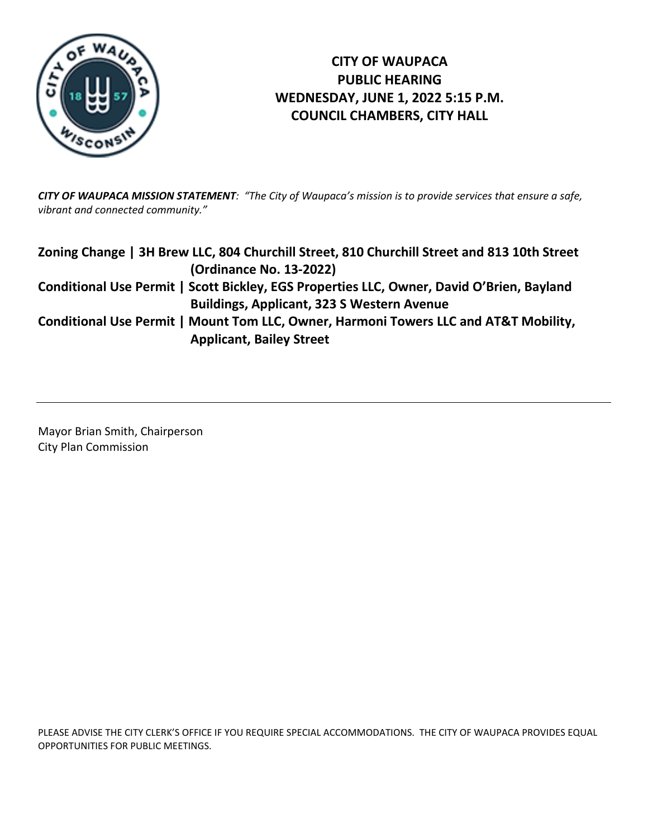

# **CITY OF WAUPACA PUBLIC HEARING WEDNESDAY, JUNE 1, 2022 5:15 P.M. COUNCIL CHAMBERS, CITY HALL**

*CITY OF WAUPACA MISSION STATEMENT: "The City of Waupaca's mission is to provide services that ensure a safe, vibrant and connected community."*

| Zoning Change   3H Brew LLC, 804 Churchill Street, 810 Churchill Street and 813 10th Street |
|---------------------------------------------------------------------------------------------|
| (Ordinance No. 13-2022)                                                                     |
| Conditional Use Permit   Scott Bickley, EGS Properties LLC, Owner, David O'Brien, Bayland   |
| <b>Buildings, Applicant, 323 S Western Avenue</b>                                           |
| Conditional Use Permit   Mount Tom LLC, Owner, Harmoni Towers LLC and AT&T Mobility,        |
| <b>Applicant, Bailey Street</b>                                                             |

Mayor Brian Smith, Chairperson City Plan Commission

PLEASE ADVISE THE CITY CLERK'S OFFICE IF YOU REQUIRE SPECIAL ACCOMMODATIONS. THE CITY OF WAUPACA PROVIDES EQUAL OPPORTUNITIES FOR PUBLIC MEETINGS.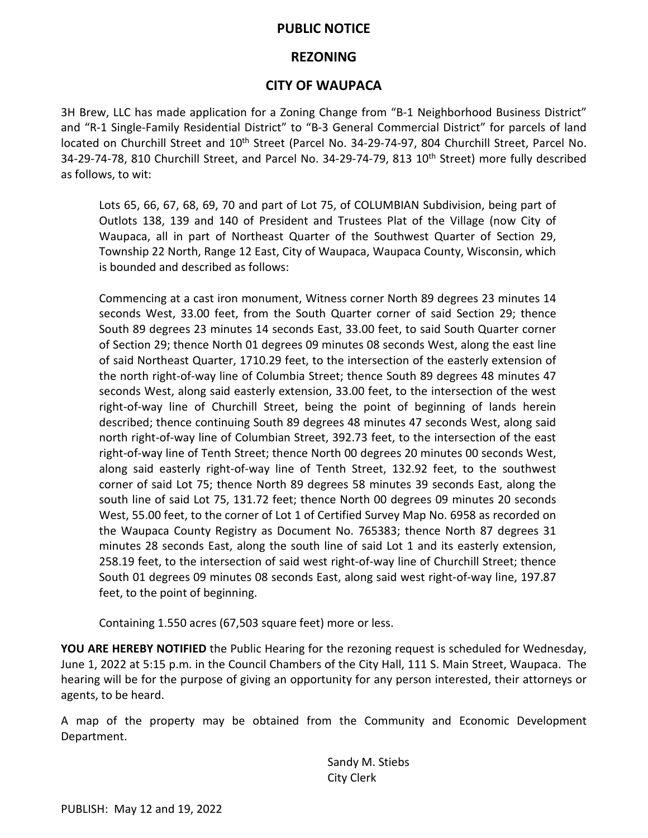#### **PUBLIC NOTICE**

### **REZONING**

## **CITY OF WAUPACA**

3H Brew, LLC has made application for a Zoning Change from "B-1 Neighborhood Business District" and "R-1 Single-Family Residential District" to "B-3 General Commercial District" for parcels of land located on Churchill Street and 10<sup>th</sup> Street (Parcel No. 34-29-74-97, 804 Churchill Street, Parcel No. 34-29-74-78, 810 Churchill Street, and Parcel No. 34-29-74-79, 813 10<sup>th</sup> Street) more fully described as follows, to wit:

Lots 65, 66, 67, 68, 69, 70 and part of Lot 75, of COLUMBIAN Subdivision, being part of Outlots 138, 139 and 140 of President and Trustees Plat of the Village (now City of Waupaca, all in part of Northeast Quarter of the Southwest Quarter of Section 29, Township 22 North, Range 12 East, City of Waupaca, Waupaca County, Wisconsin, which is bounded and described as follows:

Commencing at a cast iron monument, Witness corner North 89 degrees 23 minutes 14 seconds West, 33.00 feet, from the South Quarter corner of said Section 29; thence South 89 degrees 23 minutes 14 seconds East, 33.00 feet, to said South Quarter corner of Section 29; thence North 01 degrees 09 minutes 08 seconds West, along the east line of said Northeast Quarter, 1710.29 feet, to the intersection of the easterly extension of the north right-of-way line of Columbia Street; thence South 89 degrees 48 minutes 47 seconds West, along said easterly extension, 33.00 feet, to the intersection of the west right-of-way line of Churchill Street, being the point of beginning of lands herein described; thence continuing South 89 degrees 48 minutes 47 seconds West, along said north right-of-way line of Columbian Street, 392.73 feet, to the intersection of the east right-of-way line of Tenth Street; thence North 00 degrees 20 minutes 00 seconds West, along said easterly right-of-way line of Tenth Street, 132.92 feet, to the southwest corner of said Lot 75; thence North 89 degrees 58 minutes 39 seconds East, along the south line of said Lot 75, 131.72 feet; thence North 00 degrees 09 minutes 20 seconds West, 55.00 feet, to the corner of Lot 1 of Certified Survey Map No. 6958 as recorded on the Waupaca County Registry as Document No. 765383; thence North 87 degrees 31 minutes 28 seconds East, along the south line of said Lot 1 and its easterly extension, 258.19 feet, to the intersection of said west right-of-way line of Churchill Street; thence South 01 degrees 09 minutes 08 seconds East, along said west right-of-way line, 197.87 feet, to the point of beginning.

Containing 1.550 acres (67,503 square feet) more or less.

**YOU ARE HEREBY NOTIFIED** the Public Hearing for the rezoning request is scheduled for Wednesday, June 1, 2022 at 5:15 p.m. in the Council Chambers of the City Hall, 111 S. Main Street, Waupaca. The hearing will be for the purpose of giving an opportunity for any person interested, their attorneys or agents, to be heard.

A map of the property may be obtained from the Community and Economic Development Department.

> Sandy M. Stiebs City Clerk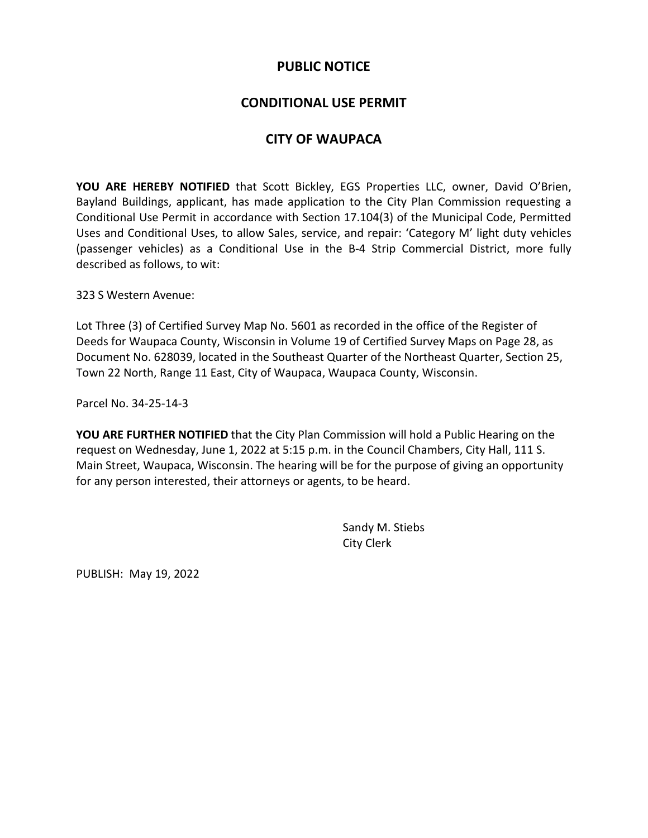#### **PUBLIC NOTICE**

## **CONDITIONAL USE PERMIT**

# **CITY OF WAUPACA**

**YOU ARE HEREBY NOTIFIED** that Scott Bickley, EGS Properties LLC, owner, David O'Brien, Bayland Buildings, applicant, has made application to the City Plan Commission requesting a Conditional Use Permit in accordance with Section 17.104(3) of the Municipal Code, Permitted Uses and Conditional Uses, to allow Sales, service, and repair: 'Category M' light duty vehicles (passenger vehicles) as a Conditional Use in the B-4 Strip Commercial District, more fully described as follows, to wit:

323 S Western Avenue:

Lot Three (3) of Certified Survey Map No. 5601 as recorded in the office of the Register of Deeds for Waupaca County, Wisconsin in Volume 19 of Certified Survey Maps on Page 28, as Document No. 628039, located in the Southeast Quarter of the Northeast Quarter, Section 25, Town 22 North, Range 11 East, City of Waupaca, Waupaca County, Wisconsin.

Parcel No. 34-25-14-3

**YOU ARE FURTHER NOTIFIED** that the City Plan Commission will hold a Public Hearing on the request on Wednesday, June 1, 2022 at 5:15 p.m. in the Council Chambers, City Hall, 111 S. Main Street, Waupaca, Wisconsin. The hearing will be for the purpose of giving an opportunity for any person interested, their attorneys or agents, to be heard.

> Sandy M. Stiebs City Clerk

PUBLISH: May 19, 2022